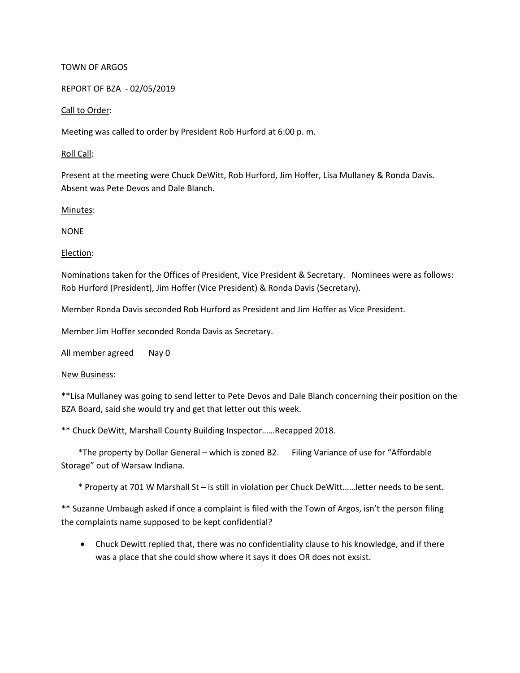# TOWN OF ARGOS

REPORT OF BZA - 02/05/2019

## Call to Order:

Meeting was called to order by President Rob Hurford at 6:00 p. m.

## Roll Call:

Present at the meeting were Chuck DeWitt, Rob Hurford, Jim Hoffer, Lisa Mullaney & Ronda Davis. Absent was Pete Devos and Dale Blanch.

Minutes:

NONE

## Election:

Nominations taken for the Offices of President, Vice President & Secretary. Nominees were as follows: Rob Hurford (President), Jim Hoffer (Vice President) & Ronda Davis (Secretary).

Member Ronda Davis seconded Rob Hurford as President and Jim Hoffer as Vice President.

Member Jim Hoffer seconded Ronda Davis as Secretary.

All member agreed Nay 0

### New Business:

\*\*Lisa Mullaney was going to send letter to Pete Devos and Dale Blanch concerning their position on the BZA Board, said she would try and get that letter out this week.

\*\* Chuck DeWitt, Marshall County Building Inspector……Recapped 2018.

 \*The property by Dollar General – which is zoned B2. Filing Variance of use for "Affordable Storage" out of Warsaw Indiana.

\* Property at 701 W Marshall St – is still in violation per Chuck DeWitt……letter needs to be sent.

\*\* Suzanne Umbaugh asked if once a complaint is filed with the Town of Argos, isn't the person filing the complaints name supposed to be kept confidential?

• Chuck Dewitt replied that, there was no confidentiality clause to his knowledge, and if there was a place that she could show where it says it does OR does not exsist.